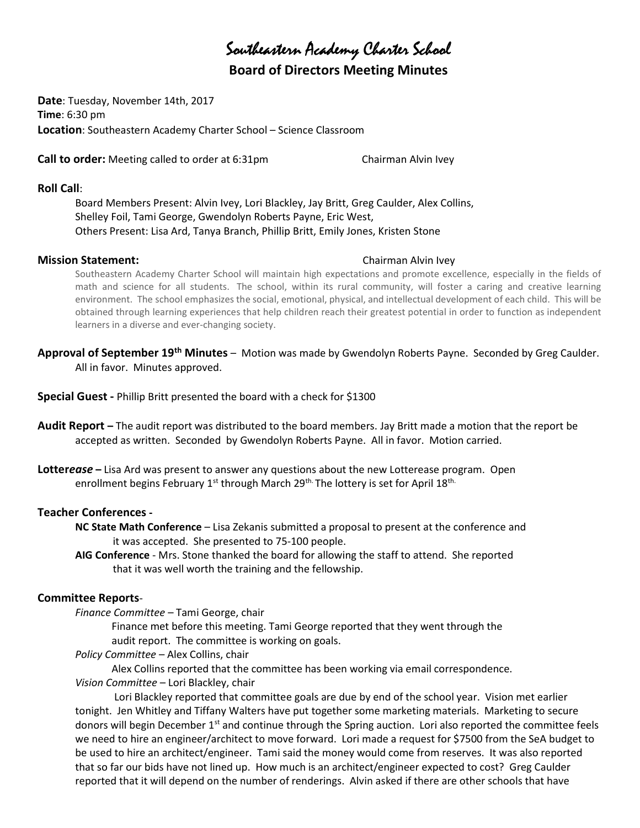# Southeastern Academy Charter School

# Board of Directors Meeting Minutes

Date: Tuesday, November 14th, 2017 Time: 6:30 pm Location: Southeastern Academy Charter School – Science Classroom

**Call to order:** Meeting called to order at 6:31pm Chairman Alvin Ivey

#### Roll Call:

Board Members Present: Alvin Ivey, Lori Blackley, Jay Britt, Greg Caulder, Alex Collins, Shelley Foil, Tami George, Gwendolyn Roberts Payne, Eric West, Others Present: Lisa Ard, Tanya Branch, Phillip Britt, Emily Jones, Kristen Stone

### **Mission Statement:** Chairman Alvin Ivey

Southeastern Academy Charter School will maintain high expectations and promote excellence, especially in the fields of math and science for all students. The school, within its rural community, will foster a caring and creative learning environment. The school emphasizes the social, emotional, physical, and intellectual development of each child. This will be obtained through learning experiences that help children reach their greatest potential in order to function as independent learners in a diverse and ever-changing society.

Approval of September 19<sup>th</sup> Minutes – Motion was made by Gwendolyn Roberts Payne. Seconded by Greg Caulder. All in favor. Minutes approved.

Special Guest - Phillip Britt presented the board with a check for \$1300

- Audit Report The audit report was distributed to the board members. Jay Britt made a motion that the report be accepted as written. Seconded by Gwendolyn Roberts Payne. All in favor. Motion carried.
- Lotterease Lisa Ard was present to answer any questions about the new Lotterease program. Open enrollment begins February 1<sup>st</sup> through March 29<sup>th.</sup> The lottery is set for April 18<sup>th.</sup>

## Teacher Conferences -

- NC State Math Conference Lisa Zekanis submitted a proposal to present at the conference and it was accepted. She presented to 75-100 people.
- AIG Conference Mrs. Stone thanked the board for allowing the staff to attend. She reported that it was well worth the training and the fellowship.

# Committee Reports-

Finance Committee – Tami George, chair

 Finance met before this meeting. Tami George reported that they went through the audit report. The committee is working on goals.

### Policy Committee – Alex Collins, chair

Alex Collins reported that the committee has been working via email correspondence.

### Vision Committee – Lori Blackley, chair

 Lori Blackley reported that committee goals are due by end of the school year. Vision met earlier tonight. Jen Whitley and Tiffany Walters have put together some marketing materials. Marketing to secure donors will begin December 1<sup>st</sup> and continue through the Spring auction. Lori also reported the committee feels we need to hire an engineer/architect to move forward. Lori made a request for \$7500 from the SeA budget to be used to hire an architect/engineer. Tami said the money would come from reserves. It was also reported that so far our bids have not lined up. How much is an architect/engineer expected to cost? Greg Caulder reported that it will depend on the number of renderings. Alvin asked if there are other schools that have